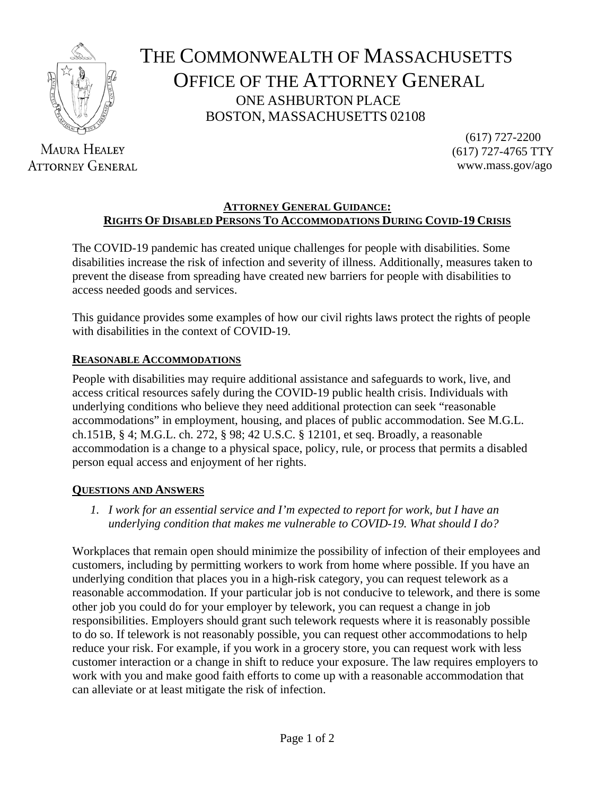

**MAURA HEALEY ATTORNEY GENERAL** 

## THE COMMONWEALTH OF MASSACHUSETTS OFFICE OF THE ATTORNEY GENERAL ONE ASHBURTON PLACE BOSTON, MASSACHUSETTS 02108

 (617) 727-2200 (617) 727-4765 TTY www.mass.gov/ago

## **ATTORNEY GENERAL GUIDANCE: RIGHTS OF DISABLED PERSONS TO ACCOMMODATIONS DURING COVID-19 CRISIS**

The COVID-19 pandemic has created unique challenges for people with disabilities. Some disabilities increase the risk of infection and severity of illness. Additionally, measures taken to prevent the disease from spreading have created new barriers for people with disabilities to access needed goods and services.

This guidance provides some examples of how our civil rights laws protect the rights of people with disabilities in the context of COVID-19.

## **REASONABLE ACCOMMODATIONS**

People with disabilities may require additional assistance and safeguards to work, live, and access critical resources safely during the COVID-19 public health crisis. Individuals with underlying conditions who believe they need additional protection can seek "reasonable accommodations" in employment, housing, and places of public accommodation. See M.G.L. ch.151B, § 4; M.G.L. ch. 272, § 98; 42 U.S.C. § 12101, et seq. Broadly, a reasonable accommodation is a change to a physical space, policy, rule, or process that permits a disabled person equal access and enjoyment of her rights.

## **QUESTIONS AND ANSWERS**

*1. I work for an essential service and I'm expected to report for work, but I have an underlying condition that makes me vulnerable to COVID-19. What should I do?*

Workplaces that remain open should minimize the possibility of infection of their employees and customers, including by permitting workers to work from home where possible. If you have an underlying condition that places you in a high-risk category, you can request telework as a reasonable accommodation. If your particular job is not conducive to telework, and there is some other job you could do for your employer by telework, you can request a change in job responsibilities. Employers should grant such telework requests where it is reasonably possible to do so. If telework is not reasonably possible, you can request other accommodations to help reduce your risk. For example, if you work in a grocery store, you can request work with less customer interaction or a change in shift to reduce your exposure. The law requires employers to work with you and make good faith efforts to come up with a reasonable accommodation that can alleviate or at least mitigate the risk of infection.